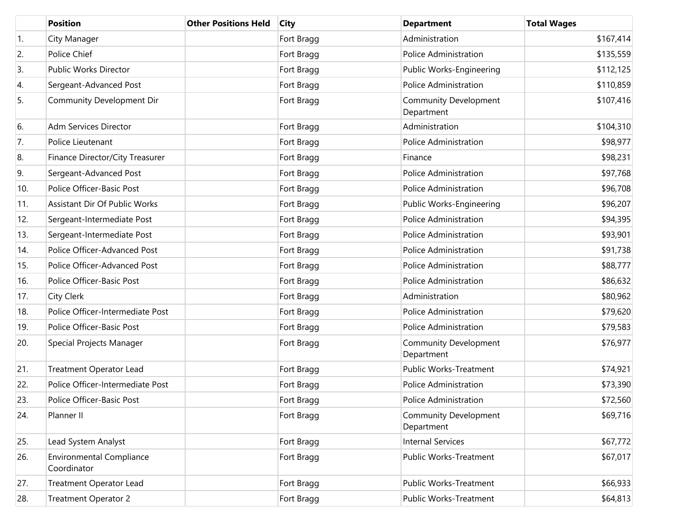|                  | <b>Position</b>                                | <b>Other Positions Held</b> | <b>City</b> | <b>Department</b>                          | <b>Total Wages</b> |
|------------------|------------------------------------------------|-----------------------------|-------------|--------------------------------------------|--------------------|
| $\overline{1}$ . | City Manager                                   |                             | Fort Bragg  | Administration                             | \$167,414          |
| 2.               | Police Chief                                   |                             | Fort Bragg  | Police Administration                      | \$135,559          |
| 3.               | Public Works Director                          |                             | Fort Bragg  | Public Works-Engineering                   | \$112,125          |
| 4.               | Sergeant-Advanced Post                         |                             | Fort Bragg  | Police Administration                      | \$110,859          |
| 5.               | Community Development Dir                      |                             | Fort Bragg  | Community Development<br>Department        | \$107,416          |
| 6.               | <b>Adm Services Director</b>                   |                             | Fort Bragg  | Administration                             | \$104,310          |
| 7.               | Police Lieutenant                              |                             | Fort Bragg  | Police Administration                      | \$98,977           |
| 8.               | Finance Director/City Treasurer                |                             | Fort Bragg  | Finance                                    | \$98,231           |
| 9.               | Sergeant-Advanced Post                         |                             | Fort Bragg  | <b>Police Administration</b>               | \$97,768           |
| 10.              | Police Officer-Basic Post                      |                             | Fort Bragg  | <b>Police Administration</b>               | \$96,708           |
| 11.              | Assistant Dir Of Public Works                  |                             | Fort Bragg  | Public Works-Engineering                   | \$96,207           |
| 12.              | Sergeant-Intermediate Post                     |                             | Fort Bragg  | Police Administration                      | \$94,395           |
| 13.              | Sergeant-Intermediate Post                     |                             | Fort Bragg  | <b>Police Administration</b>               | \$93,901           |
| 14.              | Police Officer-Advanced Post                   |                             | Fort Bragg  | <b>Police Administration</b>               | \$91,738           |
| 15.              | Police Officer-Advanced Post                   |                             | Fort Bragg  | <b>Police Administration</b>               | \$88,777           |
| 16.              | Police Officer-Basic Post                      |                             | Fort Bragg  | <b>Police Administration</b>               | \$86,632           |
| 17.              | City Clerk                                     |                             | Fort Bragg  | Administration                             | \$80,962           |
| 18.              | Police Officer-Intermediate Post               |                             | Fort Bragg  | Police Administration                      | \$79,620           |
| 19.              | Police Officer-Basic Post                      |                             | Fort Bragg  | <b>Police Administration</b>               | \$79,583           |
| 20.              | Special Projects Manager                       |                             | Fort Bragg  | Community Development<br>Department        | \$76,977           |
| 21.              | <b>Treatment Operator Lead</b>                 |                             | Fort Bragg  | Public Works-Treatment                     | \$74,921           |
| 22.              | Police Officer-Intermediate Post               |                             | Fort Bragg  | Police Administration                      | \$73,390           |
| 23.              | Police Officer-Basic Post                      |                             | Fort Bragg  | Police Administration                      | \$72,560           |
| 24.              | Planner II                                     |                             | Fort Bragg  | <b>Community Development</b><br>Department | \$69,716           |
| 25.              | Lead System Analyst                            |                             | Fort Bragg  | <b>Internal Services</b>                   | \$67,772           |
| 26.              | <b>Environmental Compliance</b><br>Coordinator |                             | Fort Bragg  | Public Works-Treatment                     | \$67,017           |
| 27.              | Treatment Operator Lead                        |                             | Fort Bragg  | <b>Public Works-Treatment</b>              | \$66,933           |
| 28.              | <b>Treatment Operator 2</b>                    |                             | Fort Bragg  | Public Works-Treatment                     | \$64,813           |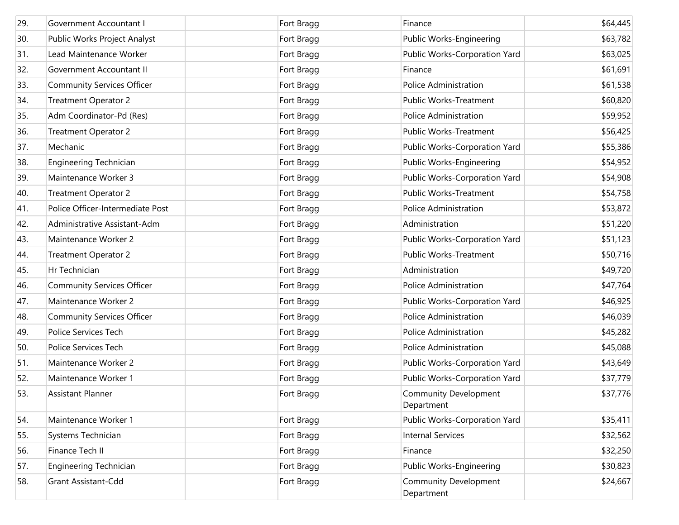| 29. | Government Accountant I           | Fort Bragg | Finance                                    | \$64,445 |
|-----|-----------------------------------|------------|--------------------------------------------|----------|
| 30. | Public Works Project Analyst      | Fort Bragg | Public Works-Engineering                   | \$63,782 |
| 31. | Lead Maintenance Worker           | Fort Bragg | Public Works-Corporation Yard              | \$63,025 |
| 32. | Government Accountant II          | Fort Bragg | Finance                                    | \$61,691 |
| 33. | <b>Community Services Officer</b> | Fort Bragg | <b>Police Administration</b>               | \$61,538 |
| 34. | <b>Treatment Operator 2</b>       | Fort Bragg | Public Works-Treatment                     | \$60,820 |
| 35. | Adm Coordinator-Pd (Res)          | Fort Bragg | <b>Police Administration</b>               | \$59,952 |
| 36. | <b>Treatment Operator 2</b>       | Fort Bragg | Public Works-Treatment                     | \$56,425 |
| 37. | Mechanic                          | Fort Bragg | Public Works-Corporation Yard              | \$55,386 |
| 38. | Engineering Technician            | Fort Bragg | Public Works-Engineering                   | \$54,952 |
| 39. | Maintenance Worker 3              | Fort Bragg | Public Works-Corporation Yard              | \$54,908 |
| 40. | <b>Treatment Operator 2</b>       | Fort Bragg | Public Works-Treatment                     | \$54,758 |
| 41. | Police Officer-Intermediate Post  | Fort Bragg | <b>Police Administration</b>               | \$53,872 |
| 42. | Administrative Assistant-Adm      | Fort Bragg | Administration                             | \$51,220 |
| 43. | Maintenance Worker 2              | Fort Bragg | Public Works-Corporation Yard              | \$51,123 |
| 44. | <b>Treatment Operator 2</b>       | Fort Bragg | Public Works-Treatment                     | \$50,716 |
| 45. | Hr Technician                     | Fort Bragg | Administration                             | \$49,720 |
| 46. | <b>Community Services Officer</b> | Fort Bragg | <b>Police Administration</b>               | \$47,764 |
| 47. | Maintenance Worker 2              | Fort Bragg | Public Works-Corporation Yard              | \$46,925 |
| 48. | <b>Community Services Officer</b> | Fort Bragg | <b>Police Administration</b>               | \$46,039 |
| 49. | Police Services Tech              | Fort Bragg | <b>Police Administration</b>               | \$45,282 |
| 50. | Police Services Tech              | Fort Bragg | <b>Police Administration</b>               | \$45,088 |
| 51. | Maintenance Worker 2              | Fort Bragg | Public Works-Corporation Yard              | \$43,649 |
| 52. | Maintenance Worker 1              | Fort Bragg | Public Works-Corporation Yard              | \$37,779 |
| 53. | <b>Assistant Planner</b>          | Fort Bragg | <b>Community Development</b><br>Department | \$37,776 |
| 54. | Maintenance Worker 1              | Fort Bragg | Public Works-Corporation Yard              | \$35,411 |
| 55. | Systems Technician                | Fort Bragg | <b>Internal Services</b>                   | \$32,562 |
| 56. | Finance Tech II                   | Fort Bragg | Finance                                    | \$32,250 |
| 57. | <b>Engineering Technician</b>     | Fort Bragg | Public Works-Engineering                   | \$30,823 |
| 58. | Grant Assistant-Cdd               | Fort Bragg | <b>Community Development</b><br>Department | \$24,667 |